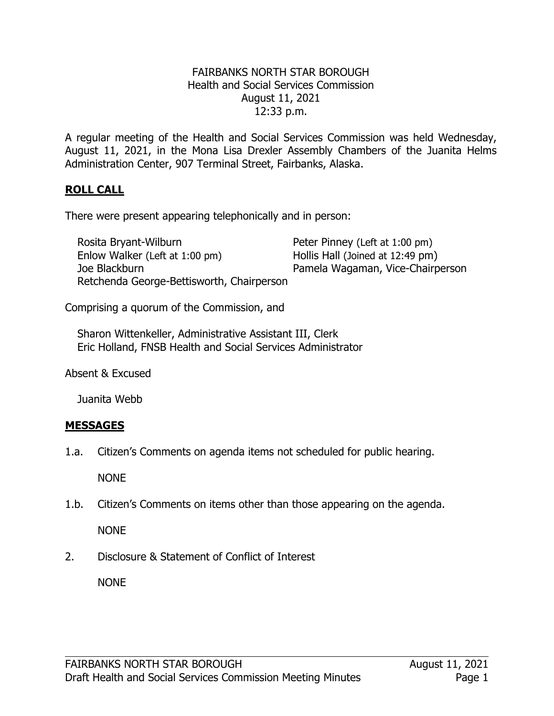### FAIRBANKS NORTH STAR BOROUGH Health and Social Services Commission August 11, 2021 12:33 p.m.

A regular meeting of the Health and Social Services Commission was held Wednesday, August 11, 2021, in the Mona Lisa Drexler Assembly Chambers of the Juanita Helms Administration Center, 907 Terminal Street, Fairbanks, Alaska.

## **ROLL CALL**

There were present appearing telephonically and in person:

Rosita Bryant-Wilburn **Peter Pinney (Left at 1:00 pm)** Enlow Walker (Left at 1:00 pm) Hollis Hall (Joined at 12:49 pm)<br>Joe Blackburn Hollis Hamela Wagaman, Vice-Chairp Retchenda George-Bettisworth, Chairperson

Pamela Wagaman, Vice-Chairperson

Comprising a quorum of the Commission, and

Sharon Wittenkeller, Administrative Assistant III, Clerk Eric Holland, FNSB Health and Social Services Administrator

Absent & Excused

Juanita Webb

### **MESSAGES**

1.a. Citizen's Comments on agenda items not scheduled for public hearing.

NONE

1.b. Citizen's Comments on items other than those appearing on the agenda.

NONE

2. Disclosure & Statement of Conflict of Interest

NONE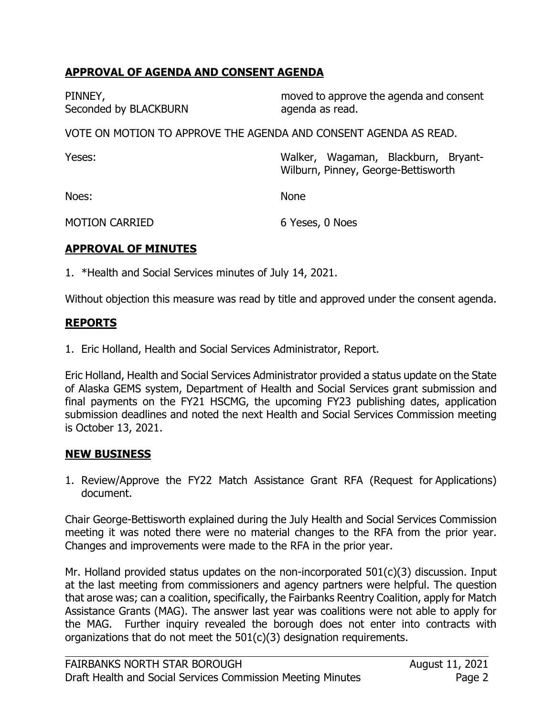## **APPROVAL OF AGENDA AND CONSENT AGENDA**

| PINNEY,<br>Seconded by BLACKBURN                                 | moved to approve the agenda and consent<br>agenda as read.                 |  |  |
|------------------------------------------------------------------|----------------------------------------------------------------------------|--|--|
| VOTE ON MOTION TO APPROVE THE AGENDA AND CONSENT AGENDA AS READ. |                                                                            |  |  |
| Yeses:                                                           | Walker, Wagaman, Blackburn, Bryant-<br>Wilburn, Pinney, George-Bettisworth |  |  |
| Noes:                                                            | <b>None</b>                                                                |  |  |

# **APPROVAL OF MINUTES**

MOTION CARRIED

1. \*Health and Social Services minutes of July 14, 2021.

Without objection this measure was read by title and approved under the consent agenda.

6 Yeses, 0 Noes

## **REPORTS**

1. Eric Holland, Health and Social Services Administrator, Report.

Eric Holland, Health and Social Services Administrator provided a status update on the State of Alaska GEMS system, Department of Health and Social Services grant submission and final payments on the FY21 HSCMG, the upcoming FY23 publishing dates, application submission deadlines and noted the next Health and Social Services Commission meeting is October 13, 2021.

### **NEW BUSINESS**

1. Review/Approve the FY22 Match Assistance Grant RFA (Request for Applications) document.

Chair George-Bettisworth explained during the July Health and Social Services Commission meeting it was noted there were no material changes to the RFA from the prior year. Changes and improvements were made to the RFA in the prior year.

Mr. Holland provided status updates on the non-incorporated  $501(c)(3)$  discussion. Input at the last meeting from commissioners and agency partners were helpful. The question that arose was; can a coalition, specifically, the Fairbanks Reentry Coalition, apply for Match Assistance Grants (MAG). The answer last year was coalitions were not able to apply for the MAG. Further inquiry revealed the borough does not enter into contracts with organizations that do not meet the  $501(c)(3)$  designation requirements.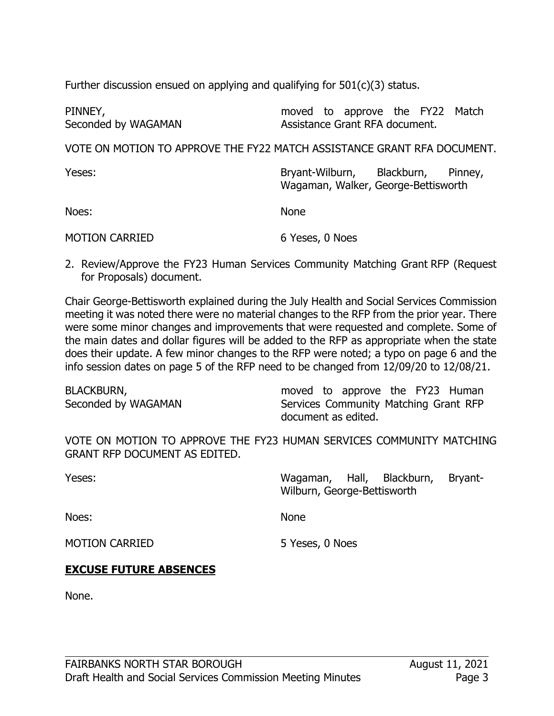Further discussion ensued on applying and qualifying for  $501(c)(3)$  status.

| PINNEY,             |  | moved to approve the FY22 Match |  |  |
|---------------------|--|---------------------------------|--|--|
| Seconded by WAGAMAN |  | Assistance Grant RFA document.  |  |  |

VOTE ON MOTION TO APPROVE THE FY22 MATCH ASSISTANCE GRANT RFA DOCUMENT.

| Yeses:                | Bryant-Wilburn, Blackburn, Pinney,<br>Wagaman, Walker, George-Bettisworth |
|-----------------------|---------------------------------------------------------------------------|
| Noes:                 | <b>None</b>                                                               |
| <b>MOTION CARRIED</b> | 6 Yeses, 0 Noes                                                           |

2. Review/Approve the FY23 Human Services Community Matching Grant RFP (Request for Proposals) document.

Chair George-Bettisworth explained during the July Health and Social Services Commission meeting it was noted there were no material changes to the RFP from the prior year. There were some minor changes and improvements that were requested and complete. Some of the main dates and dollar figures will be added to the RFP as appropriate when the state does their update. A few minor changes to the RFP were noted; a typo on page 6 and the info session dates on page 5 of the RFP need to be changed from 12/09/20 to 12/08/21.

| <b>BLACKBURN,</b>   | moved to approve the FY23 Human       |
|---------------------|---------------------------------------|
| Seconded by WAGAMAN | Services Community Matching Grant RFP |
|                     | document as edited.                   |

VOTE ON MOTION TO APPROVE THE FY23 HUMAN SERVICES COMMUNITY MATCHING GRANT RFP DOCUMENT AS EDITED.

Yeses: Noes: MOTION CARRIED Wagaman, Hall, Blackburn, Bryant-Wilburn, George-Bettisworth None 5 Yeses, 0 Noes **EXCUSE FUTURE ABSENCES**

None.